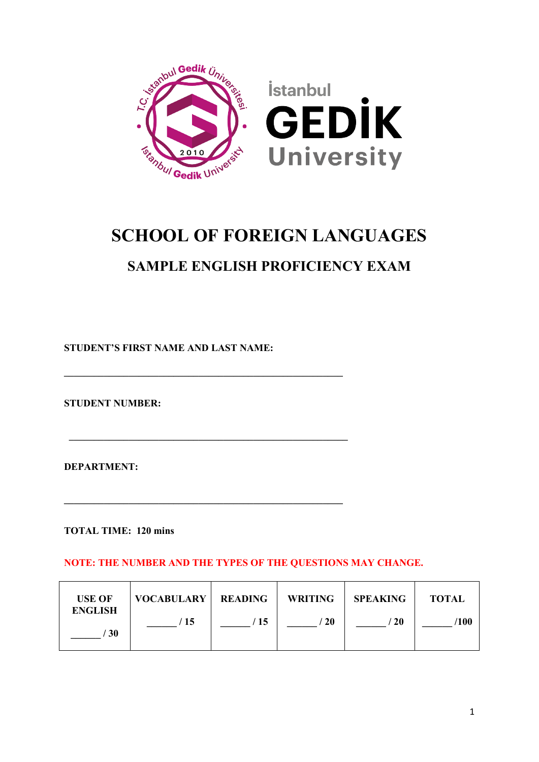

# **SCHOOL OF FOREIGN LANGUAGES**

# **SAMPLE ENGLISH PROFICIENCY EXAM**

**STUDENT'S FIRST NAME AND LAST NAME:** 

**\_\_\_\_\_\_\_\_\_\_\_\_\_\_\_\_\_\_\_\_\_\_\_\_\_\_\_\_\_\_\_\_\_\_\_\_\_\_\_\_\_\_\_\_\_\_\_\_\_\_\_\_\_\_\_\_**

 **\_\_\_\_\_\_\_\_\_\_\_\_\_\_\_\_\_\_\_\_\_\_\_\_\_\_\_\_\_\_\_\_\_\_\_\_\_\_\_\_\_\_\_\_\_\_\_\_\_\_\_\_\_\_\_\_**

**\_\_\_\_\_\_\_\_\_\_\_\_\_\_\_\_\_\_\_\_\_\_\_\_\_\_\_\_\_\_\_\_\_\_\_\_\_\_\_\_\_\_\_\_\_\_\_\_\_\_\_\_\_\_\_\_**

**STUDENT NUMBER:** 

**DEPARTMENT:**

**TOTAL TIME: 120 mins**

**NOTE: THE NUMBER AND THE TYPES OF THE QUESTIONS MAY CHANGE.**

| <b>USE OF</b><br><b>ENGLISH</b> | <b>VOCABULARY   READING</b> |      | <b>WRITING</b> | <b>SPEAKING</b> | <b>TOTAL</b> |
|---------------------------------|-----------------------------|------|----------------|-----------------|--------------|
| <b>30</b>                       | / 15                        | ' 15 | -20            | $^{\prime}$ 20  | ′100         |
|                                 |                             |      |                |                 |              |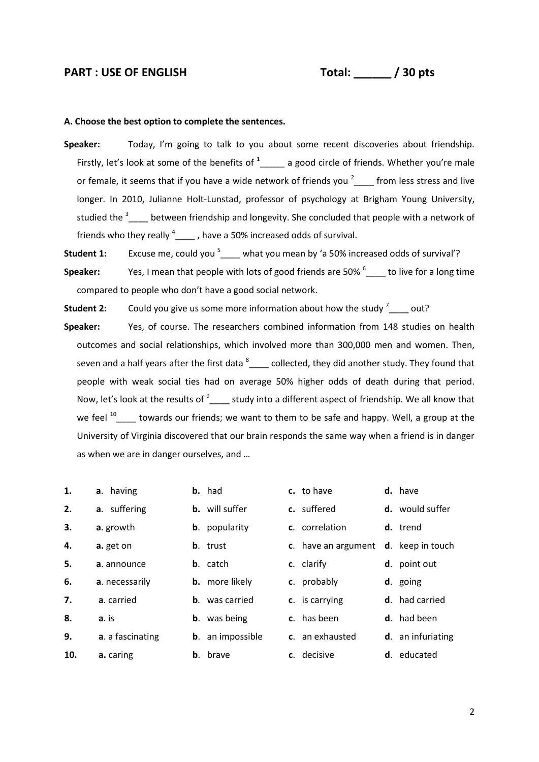## PART : USE OF ENGLISH Total:  $\begin{array}{ccc} \hline \end{array}$  / 30 pts

#### **A. Choose the best option to complete the sentences.**

- **Speaker:** Today, I'm going to talk to you about some recent discoveries about friendship. Firstly, let's look at some of the benefits of **<sup>1</sup>** \_\_\_\_\_ a good circle of friends. Whether you're male or female, it seems that if you have a wide network of friends you  $2\degree$  from less stress and live longer. In 2010, Julianne Holt-Lunstad, professor of psychology at Brigham Young University, studied the <sup>3</sup><sub>\_\_\_\_</sub> between friendship and longevity. She concluded that people with a network of friends who they really  $^4$ \_\_\_\_\_, have a 50% increased odds of survival.
- Student 1: Excuse me, could you <sup>5</sup>\_\_\_\_ what you mean by 'a 50% increased odds of survival'?

Speaker: Yes, I mean that people with lots of good friends are 50% <sup>6</sup><sub>colon</sub>to live for a long time compared to people who don't have a good social network.

**Student 2:** Could you give us some more information about how the study <sup>7</sup><sub>\_\_\_\_</sub> out?

**Speaker:** Yes, of course. The researchers combined information from 148 studies on health outcomes and social relationships, which involved more than 300,000 men and women. Then, seven and a half years after the first data  $^8$  \_\_\_\_ collected, they did another study. They found that people with weak social ties had on average 50% higher odds of death during that period. Now, let's look at the results of  $^9$  \_\_\_\_ study into a different aspect of friendship. We all know that we feel  $^{10}$  \_\_\_\_ towards our friends; we want to them to be safe and happy. Well, a group at the University of Virginia discovered that our brain responds the same way when a friend is in danger as when we are in danger ourselves, and …

| 1.  | a. having        | <b>b.</b> had           | c. to have          | d. have                |
|-----|------------------|-------------------------|---------------------|------------------------|
| 2.  | a. suffering     | <b>b.</b> will suffer   | c. suffered         | <b>d.</b> would suffer |
| 3.  | a. growth        | <b>b</b> . popularity   | c. correlation      | d. trend               |
| 4.  | a. get on        | <b>b</b> . trust        | c. have an argument | d. keep in touch       |
| 5.  | a. announce      | <b>b</b> . catch        | c. clarify          | d. point out           |
| 6.  | a. necessarily   | <b>b.</b> more likely   | c. probably         | d. going               |
| 7.  | a. carried       | <b>b</b> . was carried  | c. is carrying      | <b>d</b> . had carried |
| 8.  | a. is            | <b>b</b> . was being    | c. has been         | <b>d</b> . had been    |
| 9.  | a. a fascinating | <b>b.</b> an impossible | c. an exhausted     | d. an infuriating      |
| 10. | a. caring        | <b>b</b> . brave        | c. decisive         | <b>d</b> . educated    |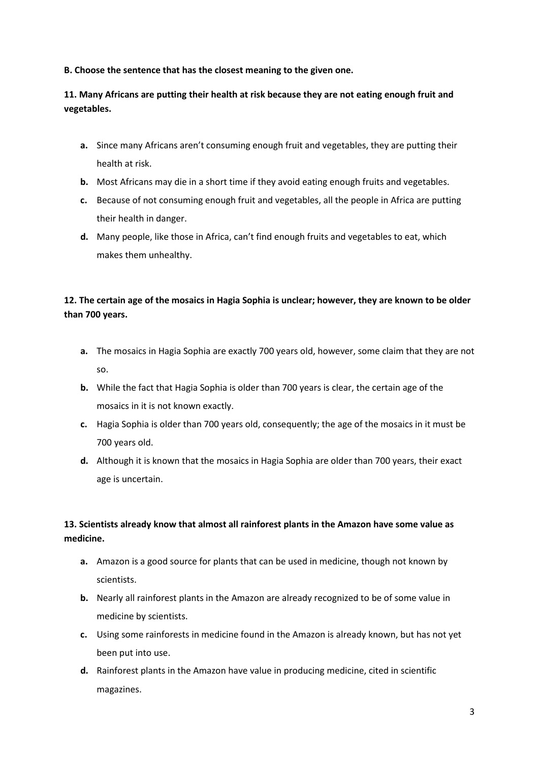### **B. Choose the sentence that has the closest meaning to the given one.**

# **11. Many Africans are putting their health at risk because they are not eating enough fruit and vegetables.**

- **a.** Since many Africans aren't consuming enough fruit and vegetables, they are putting their health at risk.
- **b.** Most Africans may die in a short time if they avoid eating enough fruits and vegetables.
- **c.** Because of not consuming enough fruit and vegetables, all the people in Africa are putting their health in danger.
- **d.** Many people, like those in Africa, can't find enough fruits and vegetables to eat, which makes them unhealthy.

# **12. The certain age of the mosaics in Hagia Sophia is unclear; however, they are known to be older than 700 years.**

- **a.** The mosaics in Hagia Sophia are exactly 700 years old, however, some claim that they are not so.
- **b.** While the fact that Hagia Sophia is older than 700 years is clear, the certain age of the mosaics in it is not known exactly.
- **c.** Hagia Sophia is older than 700 years old, consequently; the age of the mosaics in it must be 700 years old.
- **d.** Although it is known that the mosaics in Hagia Sophia are older than 700 years, their exact age is uncertain.

# **13. Scientists already know that almost all rainforest plants in the Amazon have some value as medicine.**

- **a.** Amazon is a good source for plants that can be used in medicine, though not known by scientists.
- **b.** Nearly all rainforest plants in the Amazon are already recognized to be of some value in medicine by scientists.
- **c.** Using some rainforests in medicine found in the Amazon is already known, but has not yet been put into use.
- **d.** Rainforest plants in the Amazon have value in producing medicine, cited in scientific magazines.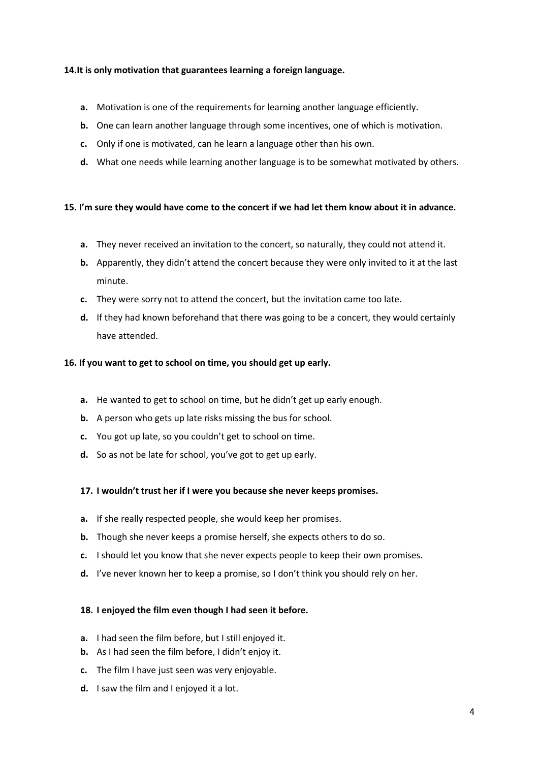### **14.It is only motivation that guarantees learning a foreign language.**

- **a.** Motivation is one of the requirements for learning another language efficiently.
- **b.** One can learn another language through some incentives, one of which is motivation.
- **c.** Only if one is motivated, can he learn a language other than his own.
- **d.** What one needs while learning another language is to be somewhat motivated by others.

#### **15. I'm sure they would have come to the concert if we had let them know about it in advance.**

- **a.** They never received an invitation to the concert, so naturally, they could not attend it.
- **b.** Apparently, they didn't attend the concert because they were only invited to it at the last minute.
- **c.** They were sorry not to attend the concert, but the invitation came too late.
- **d.** If they had known beforehand that there was going to be a concert, they would certainly have attended.

#### **16. If you want to get to school on time, you should get up early.**

- **a.** He wanted to get to school on time, but he didn't get up early enough.
- **b.** A person who gets up late risks missing the bus for school.
- **c.** You got up late, so you couldn't get to school on time.
- **d.** So as not be late for school, you've got to get up early.

#### **17. I wouldn't trust her if I were you because she never keeps promises.**

- **a.** If she really respected people, she would keep her promises.
- **b.** Though she never keeps a promise herself, she expects others to do so.
- **c.** I should let you know that she never expects people to keep their own promises.
- **d.** I've never known her to keep a promise, so I don't think you should rely on her.

#### **18. I enjoyed the film even though I had seen it before.**

- **a.** I had seen the film before, but I still enjoyed it.
- **b.** As I had seen the film before, I didn't enjoy it.
- **c.** The film I have just seen was very enjoyable.
- **d.** I saw the film and I enjoyed it a lot.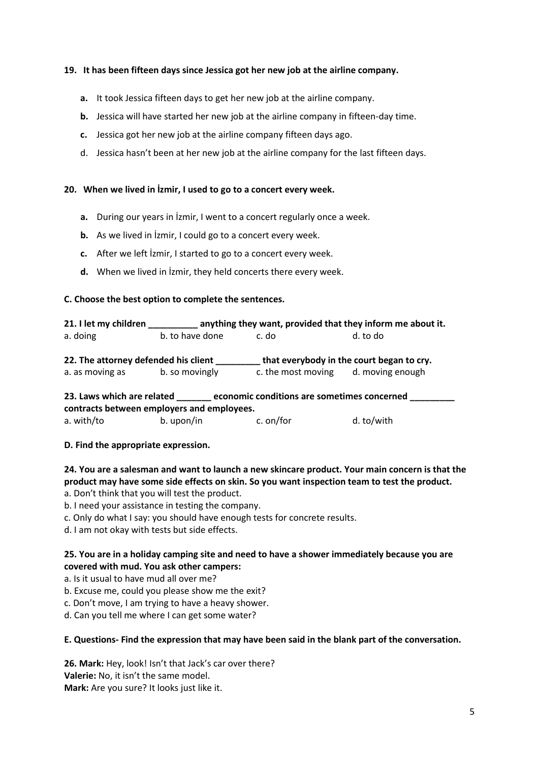### **19. It has been fifteen days since Jessica got her new job at the airline company.**

- **a.** It took Jessica fifteen days to get her new job at the airline company.
- **b.** Jessica will have started her new job at the airline company in fifteen-day time.
- **c.** Jessica got her new job at the airline company fifteen days ago.
- d. Jessica hasn't been at her new job at the airline company for the last fifteen days.

#### **20. When we lived in İzmir, I used to go to a concert every week.**

- **a.** During our years in İzmir, I went to a concert regularly once a week.
- **b.** As we lived in *izmir*, I could go to a concert every week.
- **c.** After we left İzmir, I started to go to a concert every week.
- **d.** When we lived in İzmir, they held concerts there every week.

### **C. Choose the best option to complete the sentences.**

| 21. I let my children                                                                                                   | anything they want, provided that they inform me about it. |                                                                                     |          |  |  |  |  |
|-------------------------------------------------------------------------------------------------------------------------|------------------------------------------------------------|-------------------------------------------------------------------------------------|----------|--|--|--|--|
| a. doing                                                                                                                | b. to have done                                            | c. do                                                                               | d. to do |  |  |  |  |
| 22. The attorney defended his client<br>b. so movingly<br>a. as moving as                                               |                                                            | that everybody in the court began to cry.<br>d. moving enough<br>c. the most moving |          |  |  |  |  |
| economic conditions are sometimes concerned<br>23. Laws which are related<br>contracts between employers and employees. |                                                            |                                                                                     |          |  |  |  |  |

| a. with/to | b. upon/in | c. on/for | d. to/with |
|------------|------------|-----------|------------|
|            |            |           |            |

#### **D. Find the appropriate expression.**

**24. You are a salesman and want to launch a new skincare product. Your main concern is that the product may have some side effects on skin. So you want inspection team to test the product.**

a. Don't think that you will test the product.

- b. I need your assistance in testing the company.
- c. Only do what I say: you should have enough tests for concrete results.
- d. I am not okay with tests but side effects.

## **25. You are in a holiday camping site and need to have a shower immediately because you are covered with mud. You ask other campers:**

- a. Is it usual to have mud all over me?
- b. Excuse me, could you please show me the exit?
- c. Don't move, I am trying to have a heavy shower.
- d. Can you tell me where I can get some water?

#### **E. Questions- Find the expression that may have been said in the blank part of the conversation.**

**26. Mark:** Hey, look! Isn't that Jack's car over there? **Valerie:** No, it isn't the same model. **Mark:** Are you sure? It looks just like it.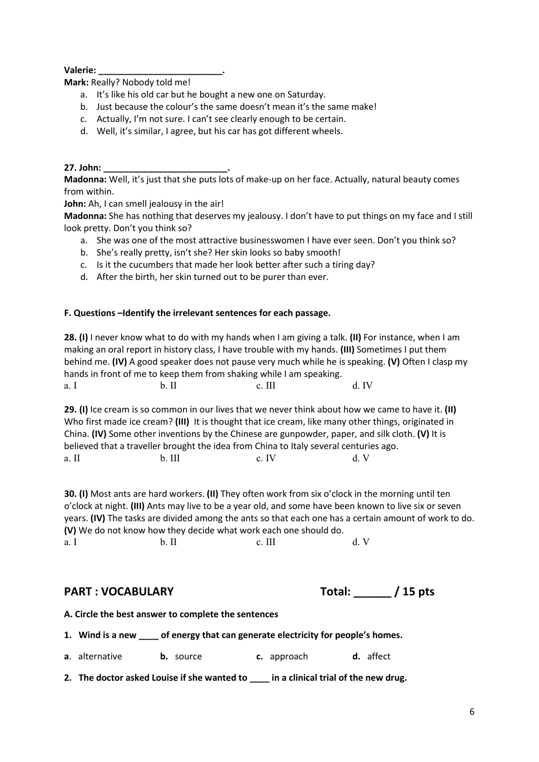**Valerie: \_\_\_\_\_\_\_\_\_\_\_\_\_\_\_\_\_\_\_\_\_\_\_\_\_.**

**Mark:** Really? Nobody told me!

- a. It's like his old car but he bought a new one on Saturday.
- b. Just because the colour's the same doesn't mean it's the same make!
- c. Actually, I'm not sure. I can't see clearly enough to be certain.
- d. Well, it's similar, I agree, but his car has got different wheels.

#### **27. John: \_\_\_\_\_\_\_\_\_\_\_\_\_\_\_\_\_\_\_\_\_\_\_\_\_.**

**Madonna:** Well, it's just that she puts lots of make-up on her face. Actually, natural beauty comes from within.

John: Ah, I can smell jealousy in the air!

**Madonna:** She has nothing that deserves my jealousy. I don't have to put things on my face and I still look pretty. Don't you think so?

- a. She was one of the most attractive businesswomen I have ever seen. Don't you think so?
- b. She's really pretty, isn't she? Her skin looks so baby smooth!
- c. Is it the cucumbers that made her look better after such a tiring day?
- d. After the birth, her skin turned out to be purer than ever.

### **F. Questions –Identify the irrelevant sentences for each passage.**

**28. (I)** I never know what to do with my hands when I am giving a talk. **(II)** For instance, when I am making an oral report in history class, I have trouble with my hands. **(III)** Sometimes I put them behind me. **(IV)** A good speaker does not pause very much while he is speaking. **(V)** Often I clasp my hands in front of me to keep them from shaking while I am speaking. a. I b. II c. III d. IV

**29. (I)** Ice cream is so common in our lives that we never think about how we came to have it. **(II)**  Who first made ice cream? **(III)** It is thought that ice cream, like many other things, originated in China. **(IV)** Some other inventions by the Chinese are gunpowder, paper, and silk cloth. **(V)** It is believed that a traveller brought the idea from China to Italy several centuries ago. a. II b. III c. IV d. V

**30. (I)** Most ants are hard workers. **(II)** They often work from six o'clock in the morning until ten o'clock at night. **(III)** Ants may live to be a year old, and some have been known to live six or seven years. **(IV)** The tasks are divided among the ants so that each one has a certain amount of work to do. **(V)** We do not know how they decide what work each one should do. a. I b. II c. III d. V

# $PART: VOCABULARY$

| Total: |  |  | 15 pts |
|--------|--|--|--------|
|--------|--|--|--------|

| A. Circle the best answer to complete the sentences |  |  |  |  |  |  |
|-----------------------------------------------------|--|--|--|--|--|--|
|-----------------------------------------------------|--|--|--|--|--|--|

**1. Wind is a new \_\_\_\_ of energy that can generate electricity for people's homes.**

|  | <b>a</b> . alternative |  | <b>b.</b> source |  | c. approach |  | d. affect |
|--|------------------------|--|------------------|--|-------------|--|-----------|
|--|------------------------|--|------------------|--|-------------|--|-----------|

**2. The doctor asked Louise if she wanted to \_\_\_\_ in a clinical trial of the new drug.**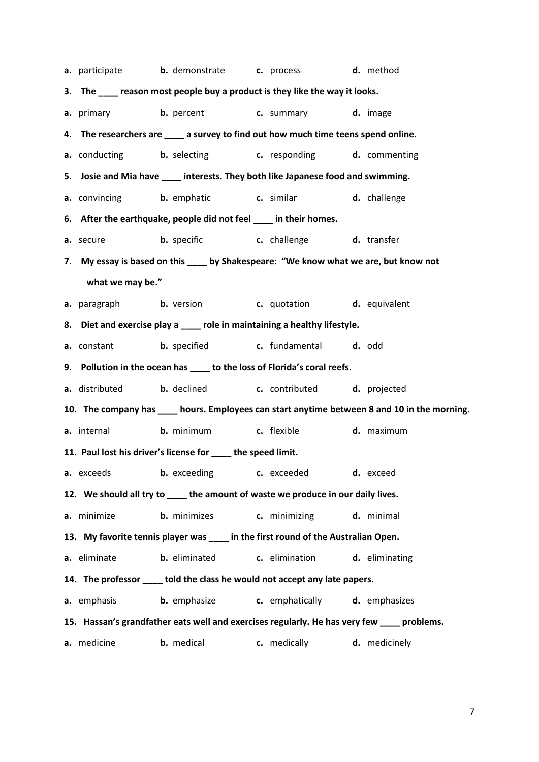|                  | <b>a.</b> participate <b>b.</b> demonstrate <b>c.</b> process <b>d.</b> method             |              |                                                                                              |
|------------------|--------------------------------------------------------------------------------------------|--------------|----------------------------------------------------------------------------------------------|
|                  | 3. The ____ reason most people buy a product is they like the way it looks.                |              |                                                                                              |
|                  | <b>a.</b> primary <b>b.</b> percent <b>c.</b> summary <b>d.</b> image                      |              |                                                                                              |
|                  | 4. The researchers are _____ a survey to find out how much time teens spend online.        |              |                                                                                              |
|                  | <b>a.</b> conducting <b>b.</b> selecting <b>c.</b> responding <b>d.</b> commenting         |              |                                                                                              |
|                  | 5. Josie and Mia have ____ interests. They both like Japanese food and swimming.           |              |                                                                                              |
|                  | <b>a.</b> convincing <b>b.</b> emphatic <b>c.</b> similar <b>d.</b> challenge              |              |                                                                                              |
|                  | 6. After the earthquake, people did not feel ____ in their homes.                          |              |                                                                                              |
|                  | <b>a.</b> secure <b>b.</b> specific <b>c.</b> challenge <b>d.</b> transfer                 |              |                                                                                              |
|                  | 7. My essay is based on this ____ by Shakespeare: "We know what we are, but know not       |              |                                                                                              |
| what we may be." |                                                                                            |              |                                                                                              |
|                  | <b>a.</b> paragraph <b>b.</b> version <b>c.</b> quotation <b>d.</b> equivalent             |              |                                                                                              |
|                  | 8. Diet and exercise play a ____ role in maintaining a healthy lifestyle.                  |              |                                                                                              |
|                  | a. constant b. specified c. fundamental d. odd                                             |              |                                                                                              |
|                  | 9. Pollution in the ocean has ____ to the loss of Florida's coral reefs.                   |              |                                                                                              |
| a. distributed   | <b>b.</b> declined <b>c.</b> contributed <b>d.</b> projected                               |              |                                                                                              |
|                  |                                                                                            |              | 10. The company has ____ hours. Employees can start anytime between 8 and 10 in the morning. |
|                  | <b>a.</b> internal <b>b.</b> minimum <b>c.</b> flexible <b>d.</b> maximum                  |              |                                                                                              |
|                  | 11. Paul lost his driver's license for ____ the speed limit.                               |              |                                                                                              |
| a. exceeds       | <b>b.</b> exceeding c. exceeded                                                            |              | d. exceed                                                                                    |
|                  | 12. We should all try to _____ the amount of waste we produce in our daily lives.          |              |                                                                                              |
| a. minimize      | <b>b.</b> minimizes <b>c.</b> minimizing                                                   |              | d. minimal                                                                                   |
|                  | 13. My favorite tennis player was ____ in the first round of the Australian Open.          |              |                                                                                              |
| a. eliminate     | <b>b.</b> eliminated <b>c.</b> elimination                                                 |              | d. eliminating                                                                               |
|                  | 14. The professor ____ told the class he would not accept any late papers.                 |              |                                                                                              |
| a. emphasis      | <b>b.</b> emphasize <b>c.</b> emphatically <b>d.</b> emphasizes                            |              |                                                                                              |
|                  | 15. Hassan's grandfather eats well and exercises regularly. He has very few ____ problems. |              |                                                                                              |
| a. medicine      | <b>b.</b> medical                                                                          | c. medically | d. medicinely                                                                                |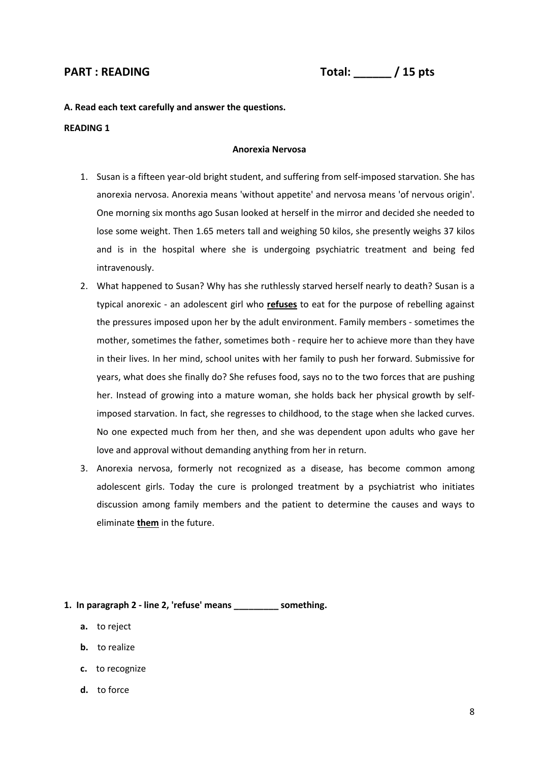# **PART : READING Total: \_\_\_\_\_\_ / 15 pts**

**A. Read each text carefully and answer the questions.**

#### **READING 1**

#### **Anorexia Nervosa**

- 1. Susan is a fifteen year-old bright student, and suffering from self-imposed starvation. She has anorexia nervosa. Anorexia means 'without appetite' and nervosa means 'of nervous origin'. One morning six months ago Susan looked at herself in the mirror and decided she needed to lose some weight. Then 1.65 meters tall and weighing 50 kilos, she presently weighs 37 kilos and is in the hospital where she is undergoing psychiatric treatment and being fed intravenously.
- 2. What happened to Susan? Why has she ruthlessly starved herself nearly to death? Susan is a typical anorexic - an adolescent girl who **refuses** to eat for the purpose of rebelling against the pressures imposed upon her by the adult environment. Family members - sometimes the mother, sometimes the father, sometimes both - require her to achieve more than they have in their lives. In her mind, school unites with her family to push her forward. Submissive for years, what does she finally do? She refuses food, says no to the two forces that are pushing her. Instead of growing into a mature woman, she holds back her physical growth by selfimposed starvation. In fact, she regresses to childhood, to the stage when she lacked curves. No one expected much from her then, and she was dependent upon adults who gave her love and approval without demanding anything from her in return.
- 3. Anorexia nervosa, formerly not recognized as a disease, has become common among adolescent girls. Today the cure is prolonged treatment by a psychiatrist who initiates discussion among family members and the patient to determine the causes and ways to eliminate **them** in the future.

#### **1. In paragraph 2 - line 2, 'refuse' means \_\_\_\_\_\_\_\_\_ something.**

- **a.** to reject
- **b.** to realize
- **c.** to recognize
- **d.** to force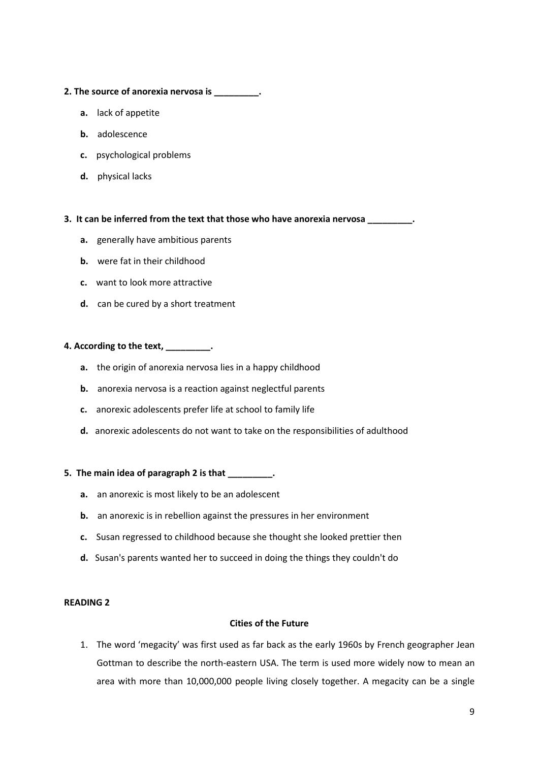#### **2. The source of anorexia nervosa is \_\_\_\_\_\_\_\_\_.**

- **a.** lack of appetite
- **b.** adolescence
- **c.** psychological problems
- **d.** physical lacks

#### **3. It can be inferred from the text that those who have anorexia nervosa \_\_\_\_\_\_\_\_\_.**

- **a.** generally have ambitious parents
- **b.** were fat in their childhood
- **c.** want to look more attractive
- **d.** can be cured by a short treatment

#### **4. According to the text, \_\_\_\_\_\_\_\_\_.**

- **a.** the origin of anorexia nervosa lies in a happy childhood
- **b.** anorexia nervosa is a reaction against neglectful parents
- **c.** anorexic adolescents prefer life at school to family life
- **d.** anorexic adolescents do not want to take on the responsibilities of adulthood

#### **5. The main idea of paragraph 2 is that \_\_\_\_\_\_\_\_\_.**

- **a.** an anorexic is most likely to be an adolescent
- **b.** an anorexic is in rebellion against the pressures in her environment
- **c.** Susan regressed to childhood because she thought she looked prettier then
- **d.** Susan's parents wanted her to succeed in doing the things they couldn't do

#### **READING 2**

#### **Cities of the Future**

1. The word 'megacity' was first used as far back as the early 1960s by French geographer Jean Gottman to describe the north-eastern USA. The term is used more widely now to mean an area with more than 10,000,000 people living closely together. A megacity can be a single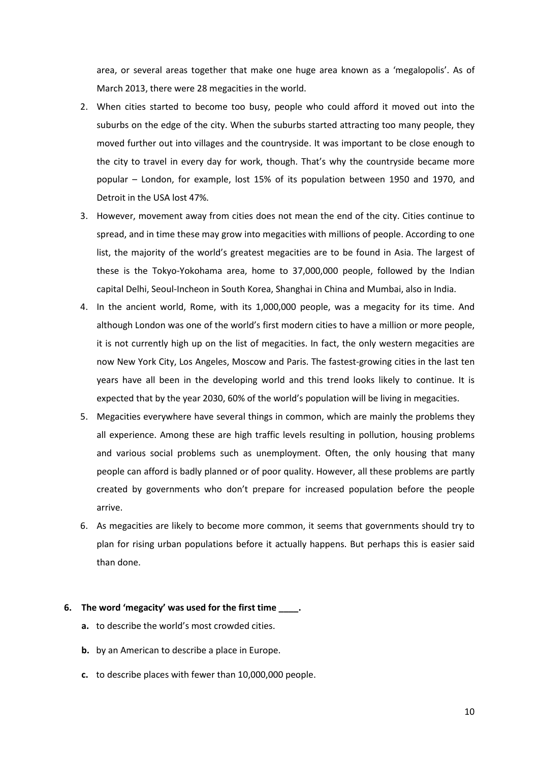area, or several areas together that make one huge area known as a 'megalopolis'. As of March 2013, there were 28 megacities in the world.

- 2. When cities started to become too busy, people who could afford it moved out into the suburbs on the edge of the city. When the suburbs started attracting too many people, they moved further out into villages and the countryside. It was important to be close enough to the city to travel in every day for work, though. That's why the countryside became more popular – London, for example, lost 15% of its population between 1950 and 1970, and Detroit in the USA lost 47%.
- 3. However, movement away from cities does not mean the end of the city. Cities continue to spread, and in time these may grow into megacities with millions of people. According to one list, the majority of the world's greatest megacities are to be found in Asia. The largest of these is the Tokyo-Yokohama area, home to 37,000,000 people, followed by the Indian capital Delhi, Seoul-Incheon in South Korea, Shanghai in China and Mumbai, also in India.
- 4. In the ancient world, Rome, with its 1,000,000 people, was a megacity for its time. And although London was one of the world's first modern cities to have a million or more people, it is not currently high up on the list of megacities. In fact, the only western megacities are now New York City, Los Angeles, Moscow and Paris. The fastest-growing cities in the last ten years have all been in the developing world and this trend looks likely to continue. It is expected that by the year 2030, 60% of the world's population will be living in megacities.
- 5. Megacities everywhere have several things in common, which are mainly the problems they all experience. Among these are high traffic levels resulting in pollution, housing problems and various social problems such as unemployment. Often, the only housing that many people can afford is badly planned or of poor quality. However, all these problems are partly created by governments who don't prepare for increased population before the people arrive.
- 6. As megacities are likely to become more common, it seems that governments should try to plan for rising urban populations before it actually happens. But perhaps this is easier said than done.

#### **6. The word 'megacity' was used for the first time \_\_\_\_.**

- **a.** to describe the world's most crowded cities.
- **b.** by an American to describe a place in Europe.
- **c.** to describe places with fewer than 10,000,000 people.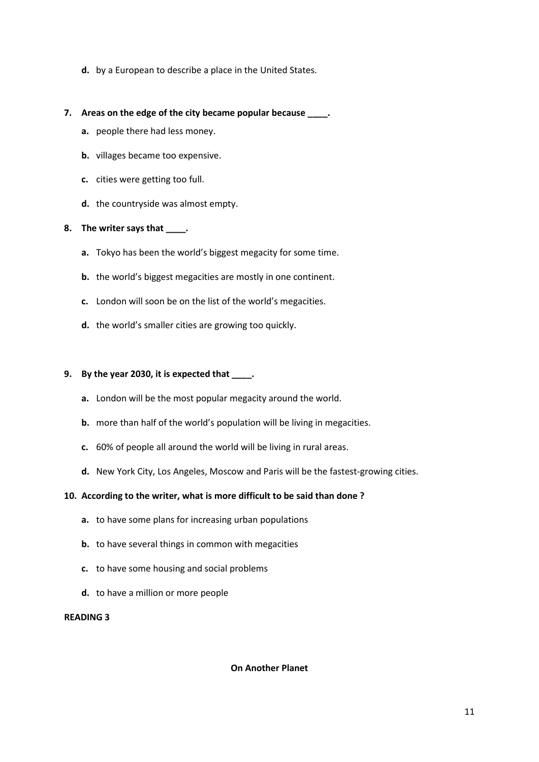**d.** by a European to describe a place in the United States.

#### **7. Areas on the edge of the city became popular because \_\_\_\_.**

- **a.** people there had less money.
- **b.** villages became too expensive.
- **c.** cities were getting too full.
- **d.** the countryside was almost empty.

### **8. The writer says that \_\_\_\_.**

- **a.** Tokyo has been the world's biggest megacity for some time.
- **b.** the world's biggest megacities are mostly in one continent.
- **c.** London will soon be on the list of the world's megacities.
- **d.** the world's smaller cities are growing too quickly.

#### **9. By the year 2030, it is expected that \_\_\_\_.**

- **a.** London will be the most popular megacity around the world.
- **b.** more than half of the world's population will be living in megacities.
- **c.** 60% of people all around the world will be living in rural areas.
- **d.** New York City, Los Angeles, Moscow and Paris will be the fastest-growing cities.

#### **10. According to the writer, what is more difficult to be said than done ?**

- **a.** to have some plans for increasing urban populations
- **b.** to have several things in common with megacities
- **c.** to have some housing and social problems
- **d.** to have a million or more people

#### **READING 3**

#### **On Another Planet**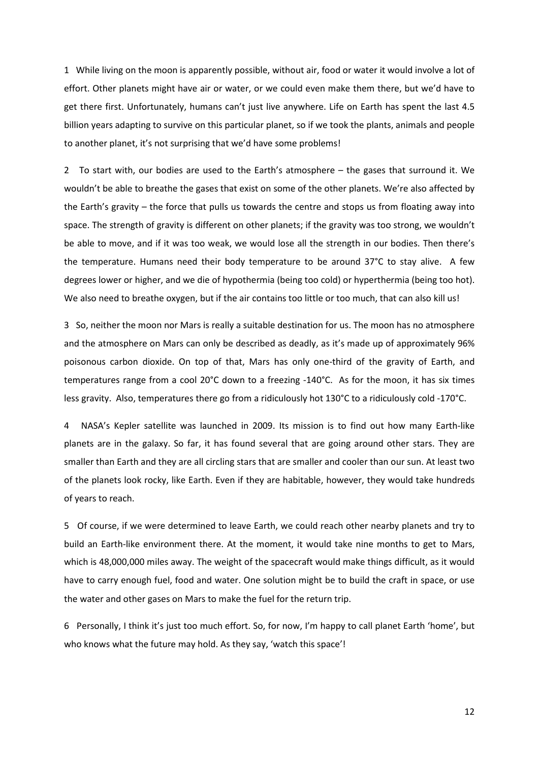1 While living on the moon is apparently possible, without air, food or water it would involve a lot of effort. Other planets might have air or water, or we could even make them there, but we'd have to get there first. Unfortunately, humans can't just live anywhere. Life on Earth has spent the last 4.5 billion years adapting to survive on this particular planet, so if we took the plants, animals and people to another planet, it's not surprising that we'd have some problems!

2 To start with, our bodies are used to the Earth's atmosphere – the gases that surround it. We wouldn't be able to breathe the gases that exist on some of the other planets. We're also affected by the Earth's gravity – the force that pulls us towards the centre and stops us from floating away into space. The strength of gravity is different on other planets; if the gravity was too strong, we wouldn't be able to move, and if it was too weak, we would lose all the strength in our bodies. Then there's the temperature. Humans need their body temperature to be around 37°C to stay alive. A few degrees lower or higher, and we die of hypothermia (being too cold) or hyperthermia (being too hot). We also need to breathe oxygen, but if the air contains too little or too much, that can also kill us!

3 So, neither the moon nor Mars is really a suitable destination for us. The moon has no atmosphere and the atmosphere on Mars can only be described as deadly, as it's made up of approximately 96% poisonous carbon dioxide. On top of that, Mars has only one-third of the gravity of Earth, and temperatures range from a cool 20°C down to a freezing -140°C. As for the moon, it has six times less gravity. Also, temperatures there go from a ridiculously hot 130°C to a ridiculously cold -170°C.

4 NASA's Kepler satellite was launched in 2009. Its mission is to find out how many Earth-like planets are in the galaxy. So far, it has found several that are going around other stars. They are smaller than Earth and they are all circling stars that are smaller and cooler than our sun. At least two of the planets look rocky, like Earth. Even if they are habitable, however, they would take hundreds of years to reach.

5 Of course, if we were determined to leave Earth, we could reach other nearby planets and try to build an Earth-like environment there. At the moment, it would take nine months to get to Mars, which is 48,000,000 miles away. The weight of the spacecraft would make things difficult, as it would have to carry enough fuel, food and water. One solution might be to build the craft in space, or use the water and other gases on Mars to make the fuel for the return trip.

6 Personally, I think it's just too much effort. So, for now, I'm happy to call planet Earth 'home', but who knows what the future may hold. As they say, 'watch this space'!

12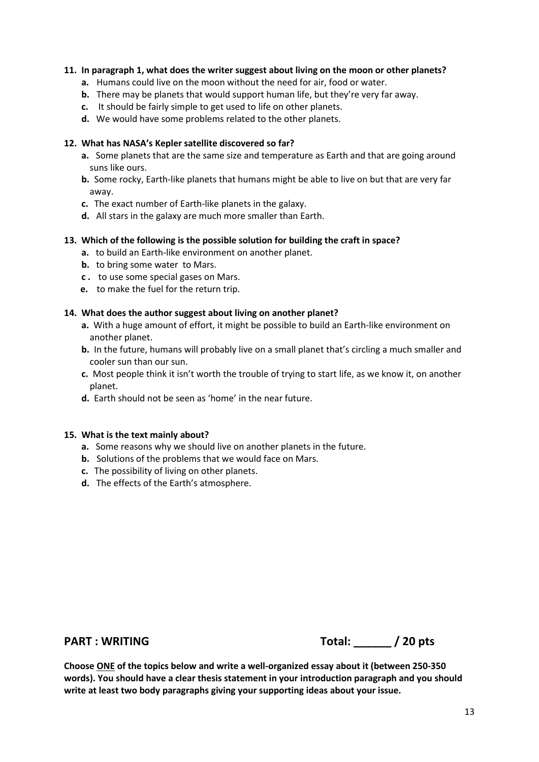#### **11. In paragraph 1, what does the writer suggest about living on the moon or other planets?**

- **a.** Humans could live on the moon without the need for air, food or water.
- **b.** There may be planets that would support human life, but they're very far away.
- **c.** It should be fairly simple to get used to life on other planets.
- **d.** We would have some problems related to the other planets.

#### **12. What has NASA's Kepler satellite discovered so far?**

- **a.** Some planets that are the same size and temperature as Earth and that are going around suns like ours.
- **b.** Some rocky, Earth-like planets that humans might be able to live on but that are very far away.
- **c.** The exact number of Earth-like planets in the galaxy.
- **d.** All stars in the galaxy are much more smaller than Earth.

#### **13. Which of the following is the possible solution for building the craft in space?**

- **a.** to build an Earth-like environment on another planet.
- **b.** to bring some water to Mars.
- **c .** to use some special gases on Mars.
- **e.** to make the fuel for the return trip.

#### **14. What does the author suggest about living on another planet?**

- **a.** With a huge amount of effort, it might be possible to build an Earth-like environment on another planet.
- **b.** In the future, humans will probably live on a small planet that's circling a much smaller and cooler sun than our sun.
- **c.** Most people think it isn't worth the trouble of trying to start life, as we know it, on another planet.
- **d.** Earth should not be seen as 'home' in the near future.

#### **15. What is the text mainly about?**

- **a.** Some reasons why we should live on another planets in the future.
- **b.** Solutions of the problems that we would face on Mars.
- **c.** The possibility of living on other planets.
- **d.** The effects of the Earth's atmosphere.

**PART : WRITING Total: \_\_\_\_\_\_ / 20 pts**

**Choose ONE of the topics below and write a well-organized essay about it (between 250-350 words). You should have a clear thesis statement in your introduction paragraph and you should write at least two body paragraphs giving your supporting ideas about your issue.**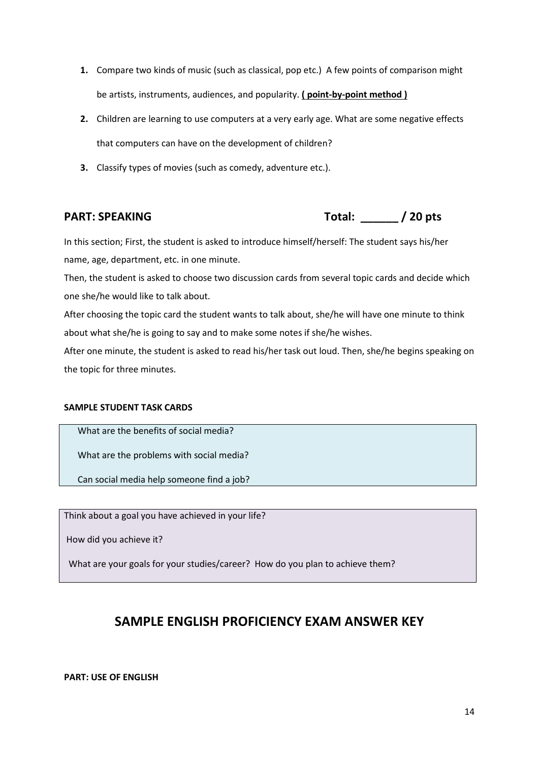- **1.** Compare two kinds of music (such as classical, pop etc.) A few points of comparison might be artists, instruments, audiences, and popularity. **( point-by-point method )**
- **2.** Children are learning to use computers at a very early age. What are some negative effects that computers can have on the development of children?
- **3.** Classify types of movies (such as comedy, adventure etc.).

**PART: SPEAKING Total: \_\_\_\_\_\_ / 20 pts**

In this section; First, the student is asked to introduce himself/herself: The student says his/her name, age, department, etc. in one minute.

Then, the student is asked to choose two discussion cards from several topic cards and decide which one she/he would like to talk about.

After choosing the topic card the student wants to talk about, she/he will have one minute to think about what she/he is going to say and to make some notes if she/he wishes.

After one minute, the student is asked to read his/her task out loud. Then, she/he begins speaking on the topic for three minutes.

## **SAMPLE STUDENT TASK CARDS**

What are the benefits of social media?

What are the problems with social media?

Can social media help someone find a job?

Think about a goal you have achieved in your life?

How did you achieve it?

What are your goals for your studies/career? How do you plan to achieve them?

# **SAMPLE ENGLISH PROFICIENCY EXAM ANSWER KEY**

## **PART: USE OF ENGLISH**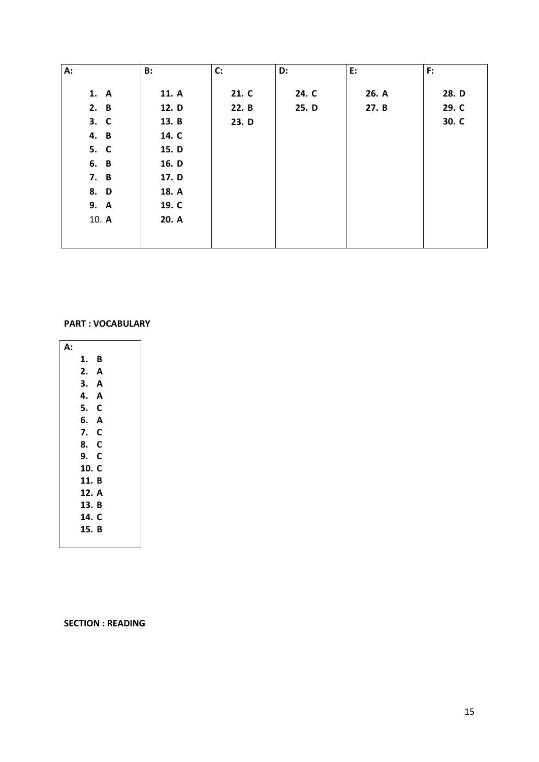| A:    | B:    | C:    | D:    | E:    | F:    |
|-------|-------|-------|-------|-------|-------|
| 1. A  | 11. A | 21. C | 24. C | 26. A | 28. D |
| 2. B  | 12. D | 22. B | 25. D | 27. B | 29. C |
| 3. C  | 13. B | 23. D |       |       | 30. C |
| 4. B  | 14. C |       |       |       |       |
| 5. C  | 15. D |       |       |       |       |
| 6. B  | 16. D |       |       |       |       |
| 7. B  | 17. D |       |       |       |       |
| 8. D  | 18. A |       |       |       |       |
| 9. A  | 19. C |       |       |       |       |
| 10. A | 20. A |       |       |       |       |
|       |       |       |       |       |       |
|       |       |       |       |       |       |

### **PART : VOCABULARY**

| А: |       |   |
|----|-------|---|
|    | 1.    | B |
|    | 2. A  |   |
|    | 3. A  |   |
|    | 4.    | A |
|    | 5. C  |   |
|    | 6. A  |   |
|    | 7. C  |   |
|    | 8. C  |   |
|    | 9. C  |   |
|    | 10. C |   |
|    | 11. B |   |
|    | 12. A |   |
|    | 13. B |   |
|    | 14. C |   |
|    | 15. B |   |
|    |       |   |

**SECTION : READING**